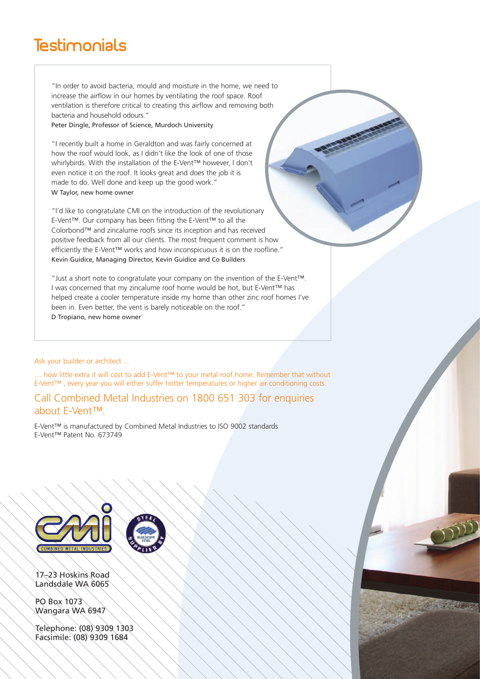## **Testimonials**

"In order to avoid bacteria, mould and moisture in the home, we need to increase the airflow in our homes by ventilating the roof space. Roof ventilation is therefore critical to creating this airflow and removing both bacteria and household odours."

Peter Dingle, Professor of Science, Murdoch University

"I recently built a home in Geraldton and was fairly concerned at how the roof would look, as I didn't like the look of one of those whirlybirds. With the installation of the E-Vent™ however, I don't even notice it on the roof. It looks great and does the job it is made to do. Well done and keep up the good work." W Taylor, new home owner

"I'd like to congratulate CMI on the introduction of the revolutionary E-Vent™. Our company has been fitting the E-Vent™ to all the Colorbond™ and zincalume roofs since its inception and has received positive feedback from all our clients. The most frequent comment is how efficiently the E-Vent™ works and how inconspicuous it is on the roofline." Kevin Guidice, Managing Director, Kevin Guidice and Co Builders

"Just a short note to congratulate your company on the invention of the E-Vent™. I was concerned that my zincalume roof home would be hot, but E-Vent™ has helped create a cooler temperature inside my home than other zinc roof homes I've been in. Even better, the vent is barely noticeable on the roof." D Tropiano, new home owner

Ask your builder or architect …

… how little extra it will cost to add E-Vent™ to your metal roof home. Remember that without E-Vent™ , every year you will either suffer hotter temperatures or higher air conditioning costs.

44.75

### Call Combined Metal Industries on 1800 651 303 for enquiries about E-Vent™.

E-Vent™ is manufactured by Combined Metal Industries to ISO 9002 standards E-Vent™ Patent No. 673749



17–23 Hoskins Road Landsdale WA 6065

PO Box 1073 Wangara WA 6947

Telephone: (08) 9309 1303 Facsimile: (08) 9309 1684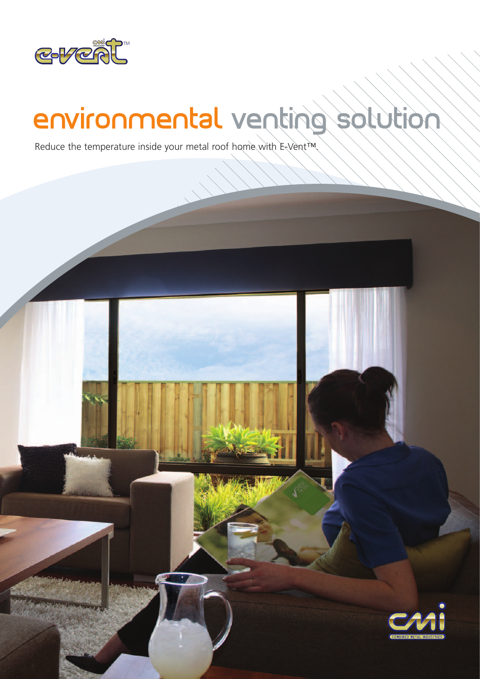

# environmental venting solution

Reduce the temperature inside your metal roof home with E-Vent™.

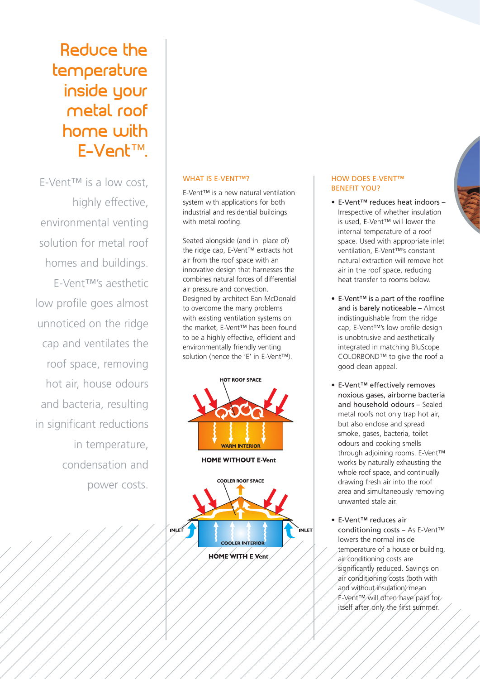# Reduce the temperature inside your metal roof home with E-Vent™.

E-Vent™ is a low cost, highly effective, environmental venting solution for metal roof homes and buildings. E-Vent™'s aesthetic low profile goes almost unnoticed on the ridge cap and ventilates the roof space, removing hot air, house odours and bacteria, resulting in significant reductions in temperature, condensation and power costs.

#### WHAT IS E-VENT™?

E-Vent™ is a new natural ventilation system with applications for both industrial and residential buildings with metal roofing.

Seated alongside (and in place of) the ridge cap, E-Vent™ extracts hot air from the roof space with an innovative design that harnesses the combines natural forces of differential air pressure and convection. Designed by architect Ean McDonald to overcome the many problems with existing ventilation systems on the market, E-Vent™ has been found to be a highly effective, efficient and environmentally friendly venting solution (hence the 'E' in E-Vent™).



#### HOW DOES E-VENT™ BENEFIT YOU?

- E-Vent™ reduces heat indoors Irrespective of whether insulation is used, E-Vent™ will lower the internal temperature of a roof space. Used with appropriate inlet ventilation, E-Vent™'s constant natural extraction will remove hot air in the roof space, reducing heat transfer to rooms below.
- E-Vent™ is a part of the roofline and is barely noticeable – Almost indistinguishable from the ridge cap, E-Vent™'s low profile design is unobtrusive and aesthetically integrated in matching BluScope COLORBOND™ to give the roof a good clean appeal.
- E-Vent™ effectively removes noxious gases, airborne bacteria and household odours – Sealed metal roofs not only trap hot air, but also enclose and spread smoke, gases, bacteria, toilet odours and cooking smells through adjoining rooms. E-Vent™ works by naturally exhausting the whole roof space, and continually drawing fresh air into the roof area and simultaneously removing unwanted stale air.
- E-Vent™ reduces air conditioning costs – As E-Vent™ lowers the normal inside temperature of a house or building, air conditioning costs are significantly reduced. Savings on air conditioning costs (both with and without insulation) mean E-Vent™ will often have paid for itself after only the first summer.